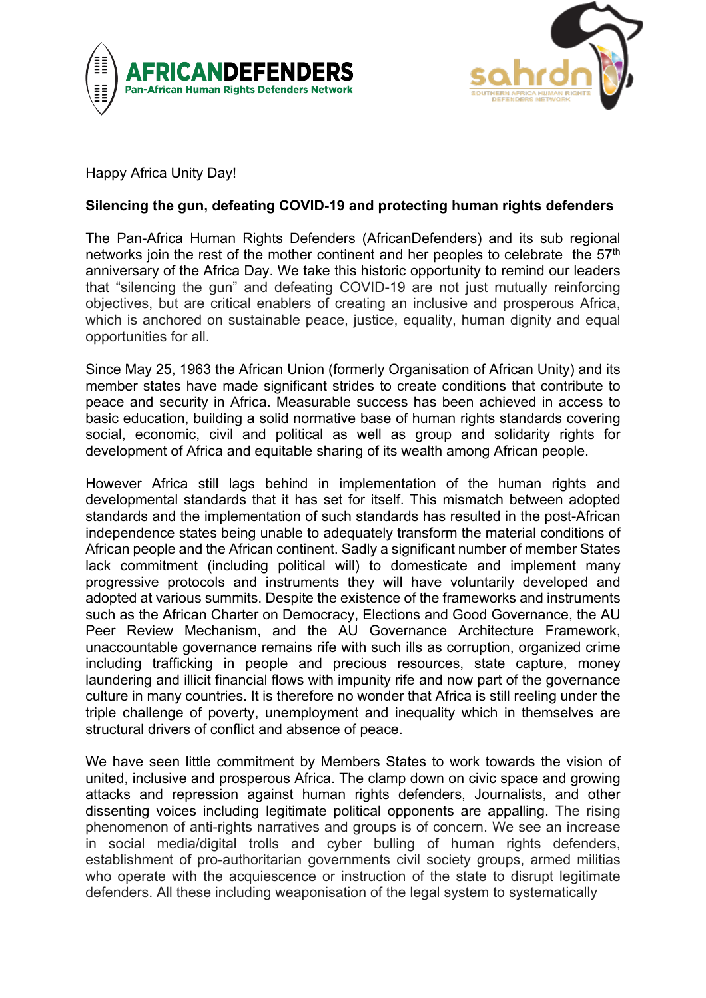



Happy Africa Unity Day!

## **Silencing the gun, defeating COVID-19 and protecting human rights defenders**

The Pan-Africa Human Rights Defenders (AfricanDefenders) and its sub regional networks join the rest of the mother continent and her peoples to celebrate the 57<sup>th</sup> anniversary of the Africa Day. We take this historic opportunity to remind our leaders that "silencing the gun" and defeating COVID-19 are not just mutually reinforcing objectives, but are critical enablers of creating an inclusive and prosperous Africa, which is anchored on sustainable peace, justice, equality, human dignity and equal opportunities for all.

Since May 25, 1963 the African Union (formerly Organisation of African Unity) and its member states have made significant strides to create conditions that contribute to peace and security in Africa. Measurable success has been achieved in access to basic education, building a solid normative base of human rights standards covering social, economic, civil and political as well as group and solidarity rights for development of Africa and equitable sharing of its wealth among African people.

However Africa still lags behind in implementation of the human rights and developmental standards that it has set for itself. This mismatch between adopted standards and the implementation of such standards has resulted in the post-African independence states being unable to adequately transform the material conditions of African people and the African continent. Sadly a significant number of member States lack commitment (including political will) to domesticate and implement many progressive protocols and instruments they will have voluntarily developed and adopted at various summits. Despite the existence of the frameworks and instruments such as the African Charter on Democracy, Elections and Good Governance, the AU Peer Review Mechanism, and the AU Governance Architecture Framework, unaccountable governance remains rife with such ills as corruption, organized crime including trafficking in people and precious resources, state capture, money laundering and illicit financial flows with impunity rife and now part of the governance culture in many countries. It is therefore no wonder that Africa is still reeling under the triple challenge of poverty, unemployment and inequality which in themselves are structural drivers of conflict and absence of peace.

We have seen little commitment by Members States to work towards the vision of united, inclusive and prosperous Africa. The clamp down on civic space and growing attacks and repression against human rights defenders, Journalists, and other dissenting voices including legitimate political opponents are appalling. The rising phenomenon of anti-rights narratives and groups is of concern. We see an increase in social media/digital trolls and cyber bulling of human rights defenders, establishment of pro-authoritarian governments civil society groups, armed militias who operate with the acquiescence or instruction of the state to disrupt legitimate defenders. All these including weaponisation of the legal system to systematically